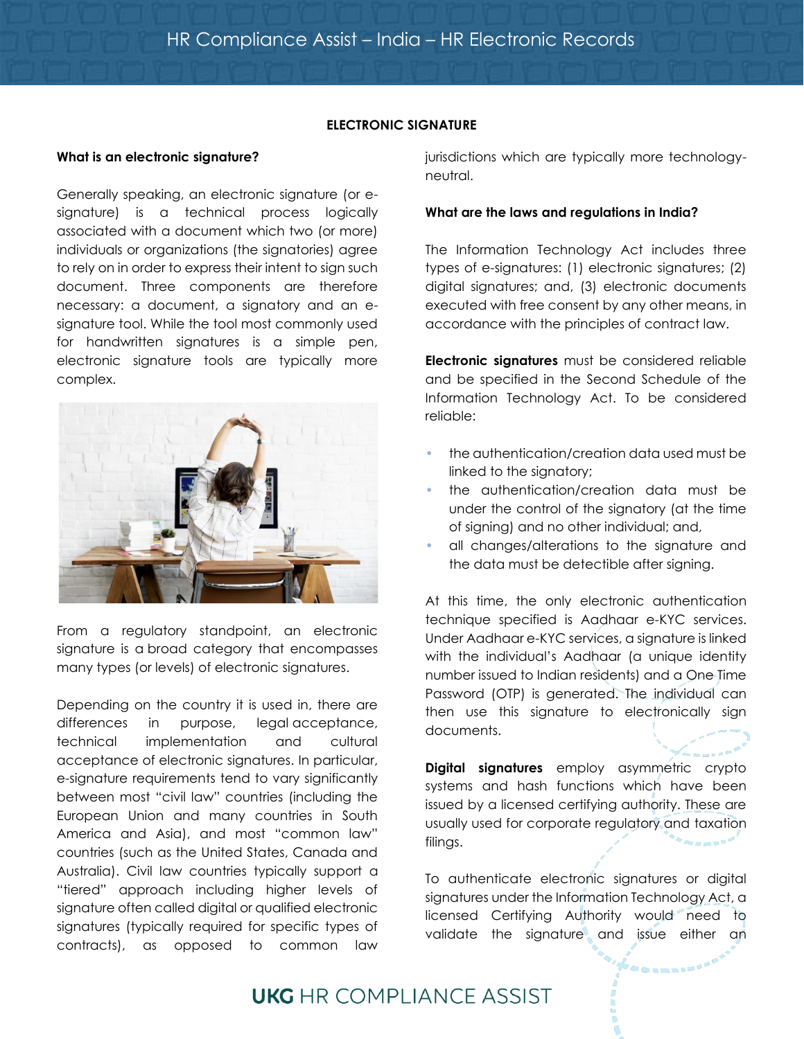### **ELECTRONIC SIGNATURE**

### **What is an electronic signature?**

Generally speaking, an electronic signature (or esignature) is a technical process logically associated with a document which two (or more) individuals or organizations (the signatories) agree to rely on in order to express their intent to sign such document. Three components are therefore necessary: a document, a signatory and an esignature tool. While the tool most commonly used for handwritten signatures is a simple pen, electronic signature tools are typically more complex.



From a regulatory standpoint, an electronic signature is a broad category that encompasses many types (or levels) of electronic signatures.

Depending on the country it is used in, there are differences in purpose, legal acceptance, technical implementation and cultural acceptance of electronic signatures. In particular, e-signature requirements tend to vary significantly between most "civil law" countries (including the European Union and many countries in South America and Asia), and most "common law" countries (such as the United States, Canada and Australia). Civil law countries typically support a "tiered" approach including higher levels of signature often called digital or qualified electronic signatures (typically required for specific types of contracts), as opposed to common law

jurisdictions which are typically more technologyneutral.

### **What are the laws and regulations in India?**

The Information Technology Act includes three types of e-signatures: (1) electronic signatures; (2) digital signatures; and, (3) electronic documents executed with free consent by any other means, in accordance with the principles of contract law.

**Electronic signatures** must be considered reliable and be specified in the Second Schedule of the Information Technology Act. To be considered reliable:

- the authentication/creation data used must be linked to the signatory;
- the authentication/creation data must be under the control of the signatory (at the time of signing) and no other individual; and,
- all changes/alterations to the signature and the data must be detectible after signing.

At this time, the only electronic authentication technique specified is Aadhaar e-KYC services. Under Aadhaar e-KYC services, a signature is linked with the individual's Aadhaar (a unique identity number issued to Indian residents) and a One Time Password (OTP) is generated. The individual can then use this signature to electronically sign documents.

**Digital signatures** employ asymmetric crypto systems and hash functions which have been issued by a licensed certifying authority. These are usually used for corporate regulatory and taxation filings.

To authenticate electronic signatures or digital signatures under the Information Technology Act, a licensed Certifying Authority would need to validate the signature and issue either an

# **UKG** HR COMPLIANCE ASSIST